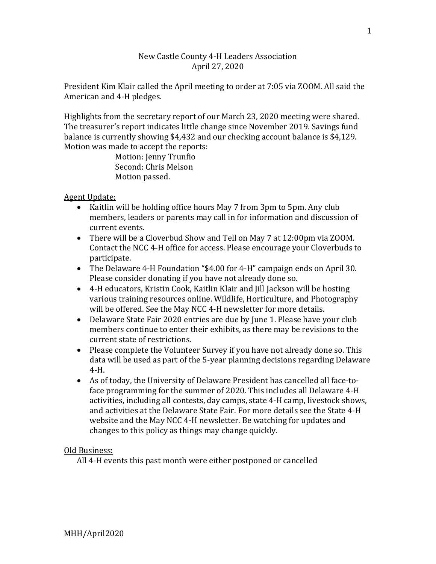## New Castle County 4-H Leaders Association April 27, 2020

President Kim Klair called the April meeting to order at 7:05 via ZOOM. All said the American and 4-H pledges.

Highlights from the secretary report of our March 23, 2020 meeting were shared. The treasurer's report indicates little change since November 2019. Savings fund balance is currently showing \$4,432 and our checking account balance is \$4,129. Motion was made to accept the reports:

Motion: Jenny Trunfio Second: Chris Melson Motion passed.

Agent Update:

- Kaitlin will be holding office hours May 7 from 3pm to 5pm. Any club members, leaders or parents may call in for information and discussion of current events.
- There will be a Cloverbud Show and Tell on May 7 at 12:00pm via ZOOM. Contact the NCC 4-H office for access. Please encourage your Cloverbuds to participate.
- The Delaware 4-H Foundation "\$4.00 for 4-H" campaign ends on April 30. Please consider donating if you have not already done so.
- 4-H educators, Kristin Cook, Kaitlin Klair and Jill Jackson will be hosting various training resources online. Wildlife, Horticulture, and Photography will be offered. See the May NCC 4-H newsletter for more details.
- Delaware State Fair 2020 entries are due by June 1. Please have your club members continue to enter their exhibits, as there may be revisions to the current state of restrictions.
- Please complete the Volunteer Survey if you have not already done so. This data will be used as part of the 5-year planning decisions regarding Delaware 4-H.
- As of today, the University of Delaware President has cancelled all face-toface programming for the summer of 2020. This includes all Delaware 4-H activities, including all contests, day camps, state 4-H camp, livestock shows, and activities at the Delaware State Fair. For more details see the State 4-H website and the May NCC 4-H newsletter. Be watching for updates and changes to this policy as things may change quickly.

Old Business:

All 4-H events this past month were either postponed or cancelled